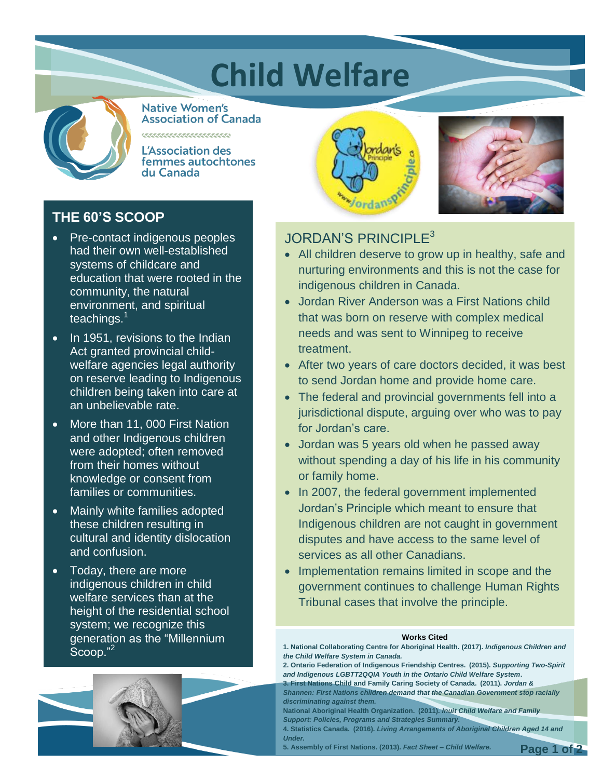# **Child Welfare**



**Native Women's Association of Canada** 

**L'Association des** femmes autochtones du Canada

# **THE 60'S SCOOP**

- Pre-contact indigenous peoples had their own well-established systems of childcare and education that were rooted in the community, the natural environment, and spiritual teachings.<sup>1</sup>
- $\overline{\bullet}$  In 1951, revisions to the Indian Act granted provincial childwelfare agencies legal authority on reserve leading to Indigenous children being taken into care at an unbelievable rate.
- More than 11, 000 First Nation and other Indigenous children were adopted; often removed from their homes without knowledge or consent from families or communities.
- Mainly white families adopted these children resulting in cultural and identity dislocation and confusion.
- Today, there are more indigenous children in child welfare services than at the height of the residential school system; we recognize this generation as the "Millennium Scoop."<sup>2</sup>





## JORDAN'S PRINCIPLE<sup>3</sup>

- All children deserve to grow up in healthy, safe and nurturing environments and this is not the case for indigenous children in Canada.
- Jordan River Anderson was a First Nations child that was born on reserve with complex medical needs and was sent to Winnipeg to receive treatment.
- After two years of care doctors decided, it was best to send Jordan home and provide home care.
- The federal and provincial governments fell into a jurisdictional dispute, arguing over who was to pay for Jordan's care.
- Jordan was 5 years old when he passed away without spending a day of his life in his community or family home.
- In 2007, the federal government implemented Jordan's Principle which meant to ensure that Indigenous children are not caught in government disputes and have access to the same level of services as all other Canadians.
- Implementation remains limited in scope and the government continues to challenge Human Rights Tribunal cases that involve the principle.

#### **Works Cited**

**1. National Collaborating Centre for Aboriginal Health. (2017).** *Indigenous Children and the Child Welfare System in Canada.*

**2. Ontario Federation of Indigenous Friendship Centres. (2015).** *Supporting Two-Spirit and Indigenous LGBTT2QQIA Youth in the Ontario Child Welfare System***.**

**3. First Nations Child and Family Caring Society of Canada. (2011).** *Jordan & Shannen: First Nations children demand that the Canadian Government stop racially discriminating against them.*

**National Aboriginal Health Organization. (2011).** *Inuit Child Welfare and Family Support: Policies, Programs and Strategies Summary.*

**4. Statistics Canada. (2016).** *Living Arrangements of Aboriginal Children Aged 14 and Under.*

**5. Assembly of First Nations. (2013).** *Fact Sheet – Child Welfare.* **Page 1 of 2**